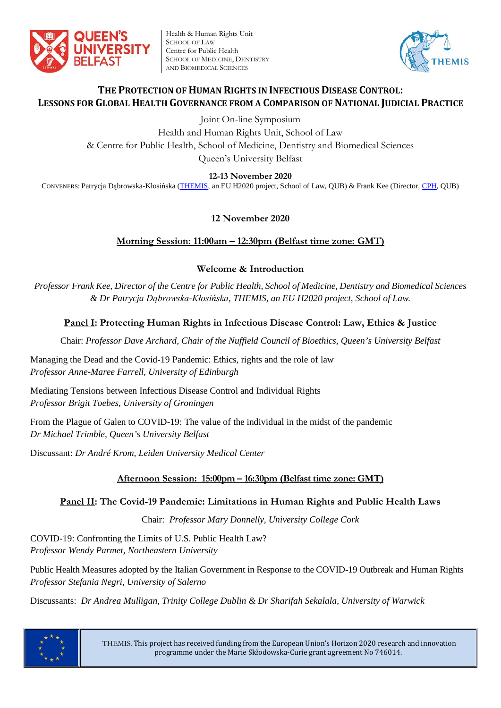

Health & Human Rights Unit SCHOOL OF LAW Centre for Public Health SCHOOL OF MEDICINE, DENTISTRY AND BIOMEDICAL SCIENCES



## **THE PROTECTION OF HUMAN RIGHTS IN INFECTIOUS DISEASE CONTROL: LESSONS FOR GLOBAL HEALTH GOVERNANCE FROM A COMPARISON OF NATIONAL JUDICIAL PRACTICE**

Joint On-line Symposium

Health and Human Rights Unit, School of Law & Centre for Public Health, School of Medicine, Dentistry and Biomedical Sciences Queen's University Belfast

**12-13 November 2020**

CONVENERS: Patrycja Dąbrowska-Kłosińska [\(THEMIS,](http://law.qub.ac.uk/schools/SchoolofLaw/research/research-projects/project-sites/themis-project/) an EU H2020 project, School of Law, QUB) & Frank Kee (Director, [CPH,](https://www.qub.ac.uk/research-centres/CentreforPublicHealth/) QUB)

# **12 November 2020**

## **Morning Session: 11:00am – 12:30pm (Belfast time zone: GMT)**

## **Welcome & Introduction**

*Professor Frank Kee, Director of the Centre for Public Health, School of Medicine, Dentistry and Biomedical Sciences & Dr Patrycja Dąbrowska-Kłosińska, THEMIS, an EU H2020 project, School of Law.*

# **Panel I: Protecting Human Rights in Infectious Disease Control: Law, Ethics & Justice**

Chair: *Professor Dave Archard, Chair of the Nuffield Council of Bioethics, Queen's University Belfast*

Managing the Dead and the Covid-19 Pandemic: Ethics, rights and the role of law *Professor Anne-Maree Farrell, University of Edinburgh*

Mediating Tensions between Infectious Disease Control and Individual Rights *Professor Brigit Toebes, University of Groningen*

From the Plague of Galen to COVID-19: The value of the individual in the midst of the pandemic *Dr Michael Trimble, Queen's University Belfast*

Discussant: *Dr André Krom, Leiden University Medical Center*

## **Afternoon Session: 15:00pm – 16:30pm (Belfast time zone: GMT)**

## **Panel II: The Covid-19 Pandemic: Limitations in Human Rights and Public Health Laws**

Chair: *Professor Mary Donnelly, University College Cork*

COVID-19: Confronting the Limits of U.S. Public Health Law? *Professor Wendy Parmet, Northeastern University*

Public Health Measures adopted by the Italian Government in Response to the COVID-19 Outbreak and Human Rights *Professor Stefania Negri, University of Salerno*

Discussants: *Dr Andrea Mulligan, Trinity College Dublin & Dr Sharifah Sekalala, University of Warwick*